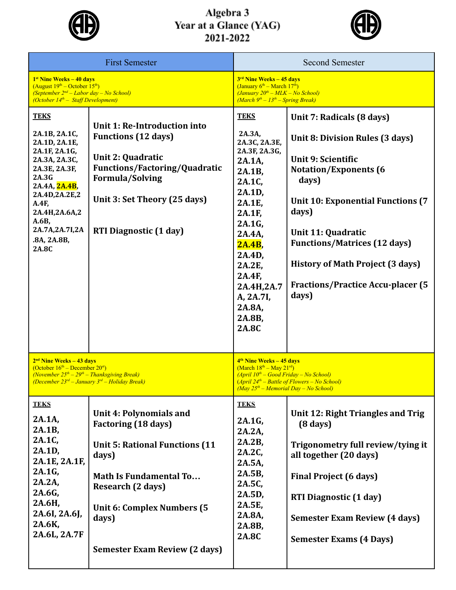

## Algebra 3<br>Year at a Glance (YAG)<br>2021-2022



| <b>First Semester</b>                                                                                                                                                                                                   |                                                                                                                                                                                                                                                            | <b>Second Semester</b>                                                                                                                                                                                                                  |                                                                                                                                                                                                                                                                                                                                                      |  |
|-------------------------------------------------------------------------------------------------------------------------------------------------------------------------------------------------------------------------|------------------------------------------------------------------------------------------------------------------------------------------------------------------------------------------------------------------------------------------------------------|-----------------------------------------------------------------------------------------------------------------------------------------------------------------------------------------------------------------------------------------|------------------------------------------------------------------------------------------------------------------------------------------------------------------------------------------------------------------------------------------------------------------------------------------------------------------------------------------------------|--|
| <sup>1st</sup> Nine Weeks - 40 days<br>$(August 19th – October 15th)$<br>(September $2^{nd}$ – Labor day – No School)<br>(October $14th$ – Staff Development)                                                           |                                                                                                                                                                                                                                                            | $3rd$ Nine Weeks $-45$ days<br>(January $6th$ – March 17 <sup>th</sup> )<br>$(January 20th - MLK - No School)$<br>$(March 9th - 13th - Spring Break)$                                                                                   |                                                                                                                                                                                                                                                                                                                                                      |  |
| <b>TEKS</b><br>2A.1B, 2A.1C,<br>2A.1D, 2A.1E,<br>2A.1F, 2A.1G,<br>2A.3A, 2A.3C,<br>2A.3E, 2A.3F,<br>2A.3G<br>2A.4A, 2A.4B,<br>2A.4D,2A.2E,2<br>A.4F,<br>2A.4H,2A.6A,2<br>A.6B<br>2A.7A,2A.7I,2A<br>.8A, 2A.8B,<br>2A.8C | Unit 1: Re-Introduction into<br><b>Functions (12 days)</b><br>Unit 2: Quadratic<br><b>Functions/Factoring/Quadratic</b><br><b>Formula/Solving</b><br>Unit 3: Set Theory (25 days)<br><b>RTI Diagnostic (1 day)</b>                                         | <b>TEKS</b><br>2A.3A,<br>2A.3C, 2A.3E,<br>2A.3F, 2A.3G,<br>2A.1A.<br>2A.1B,<br>2A.1C,<br>2A.1D,<br>2A.1E,<br>2A.1F,<br>2A.1G,<br>2A.4A,<br>2A.4B,<br>2A.4D,<br>2A.2E,<br>2A.4F,<br>2A.4H,2A.7<br>A, 2A.7I,<br>2A.8A,<br>2A.8B,<br>2A.8C | Unit 7: Radicals (8 days)<br>Unit 8: Division Rules (3 days)<br>Unit 9: Scientific<br><b>Notation/Exponents (6</b><br>days)<br><b>Unit 10: Exponential Functions (7</b><br>days)<br><b>Unit 11: Quadratic</b><br><b>Functions/Matrices (12 days)</b><br><b>History of Math Project (3 days)</b><br><b>Fractions/Practice Accu-placer (5</b><br>days) |  |
| 2 <sup>nd</sup> Nine Weeks - 43 days<br>(October $16th$ – December $20st$ )<br>(November $25th - 29th - Thanksgiving Break$ )<br>(December $23^{rd}$ – January $3^{rd}$ – Holiday Break)                                |                                                                                                                                                                                                                                                            | 4 <sup>th</sup> Nine Weeks – 45 days<br>$(March 18th - May 21rd)$<br>$(April 10th - Good Friday - No School)$<br>$(April 24th - Battle of Flowers - No School)$<br>$\left(May\ 25^m - Memorial\ Day - No\ School\right)$                |                                                                                                                                                                                                                                                                                                                                                      |  |
| <b>TEKS</b><br>2A.1A,<br>2A.1B,<br>2A.1C,<br>2A.1D,<br>2A.1E, 2A.1F,<br>2A.1G,<br>2A.2A,<br>2A.6G,<br>2A.6H,<br>2A.6I, 2A.6J,<br>2A.6K,<br>2A.6L, 2A.7F                                                                 | Unit 4: Polynomials and<br><b>Factoring (18 days)</b><br><b>Unit 5: Rational Functions (11</b><br>days)<br><b>Math Is Fundamental To</b><br><b>Research (2 days)</b><br><b>Unit 6: Complex Numbers (5</b><br>days)<br><b>Semester Exam Review (2 days)</b> | <b>TEKS</b><br>2A.1G,<br>2A.2A,<br>2A.2B,<br>2A.2C,<br>2A.5A,<br>2A.5B,<br>2A.5C,<br>2A.5D,<br>2A.5E,<br>2A.8A,<br>2A.8B,<br>2A.8C                                                                                                      | Unit 12: Right Triangles and Trig<br>$(8 \text{ days})$<br>Trigonometry full review/tying it<br>all together (20 days)<br><b>Final Project (6 days)</b><br><b>RTI Diagnostic (1 day)</b><br><b>Semester Exam Review (4 days)</b><br><b>Semester Exams (4 Days)</b>                                                                                   |  |